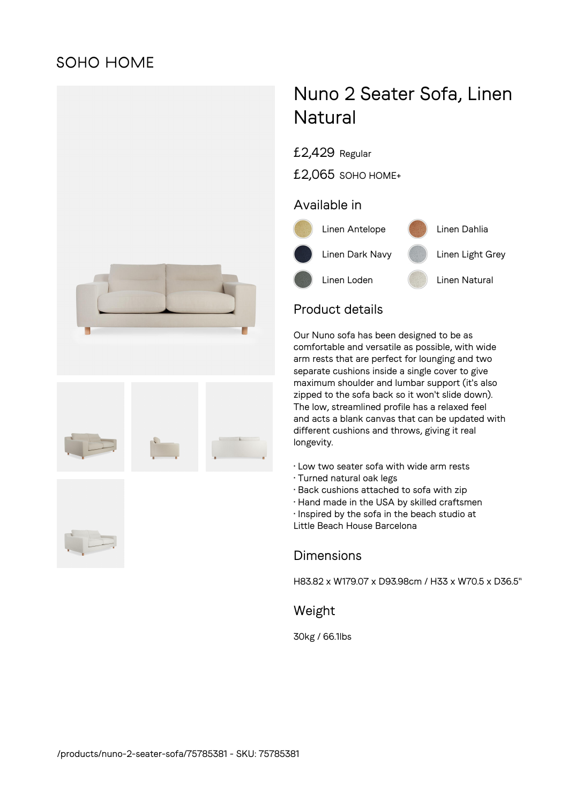# **SOHO HOME**



# Nuno 2 Seater Sofa, Linen **Natural**

£2,429 Regular

£2,065 SOHO HOME+

### Available in



## Product details

Our Nuno sofa has been designed to be as comfortable and versatile as possible, with wide arm rests that are perfect for lounging and two separate cushions inside a single cover to give maximum shoulder and lumbar support (it's also zipped to the sofa back so it won't slide down). The low, streamlined profile has a relaxed feel and acts a blank canvas that can be updated with different cushions and throws, giving it real longevity.

- Low two seater sofa with wide arm rests
- Turned natural oak legs
- Back cushions attached to sofa with zip
- Hand made in the USA by skilled craftsmen
- Inspired by the sofa in the beach studio at

Little Beach House Barcelona

#### **Dimensions**

H83.82 x W179.07 x D93.98cm / H33 x W70.5 x D36.5"

#### Weight

30kg / 66.1lbs